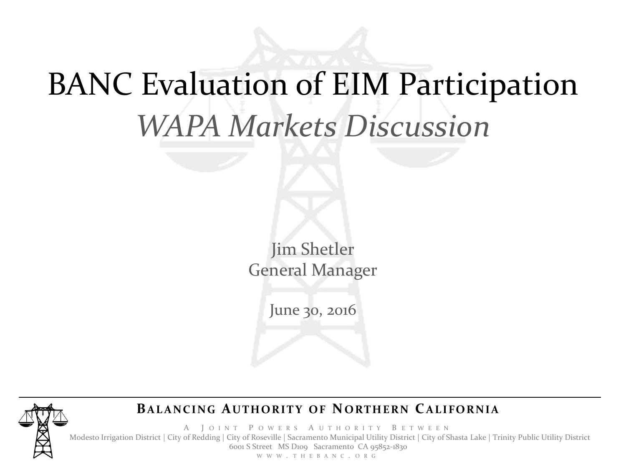# BANC Evaluation of EIM Participation *WAPA Markets Discussion*

Jim Shetler General Manager

June 30, 2016



#### **BALANCING AUTHORITY OF NORTHERN CALIFORNIA**

A J OINT P OWERS A UTHORITY B ETWEEN

Modesto Irrigation District | City of Redding | City of Roseville | Sacramento Municipal Utility District | City of Shasta Lake | Trinity Public Utility District 6001 S Street MS D109 Sacramento CA 95852-1830

WWW . THEBANC . ORG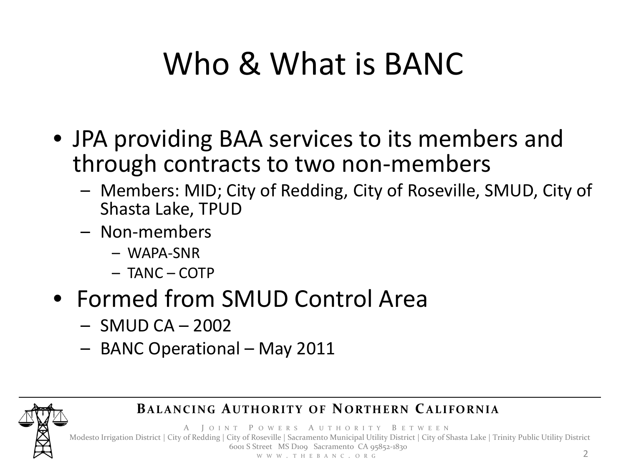## Who & What is BANC

- JPA providing BAA services to its members and through contracts to two non-members
	- Members: MID; City of Redding, City of Roseville, SMUD, City of Shasta Lake, TPUD
	- Non-members
		- WAPA-SNR
		- TANC COTP

### • Formed from SMUD Control Area

- $-$  SMUD CA  $-$  2002
- BANC Operational May 2011

#### **BALANCING AUTHORITY OF NORTHERN CALIFORNIA**

A J OINT P OWERS A UTHORITY B ETWEEN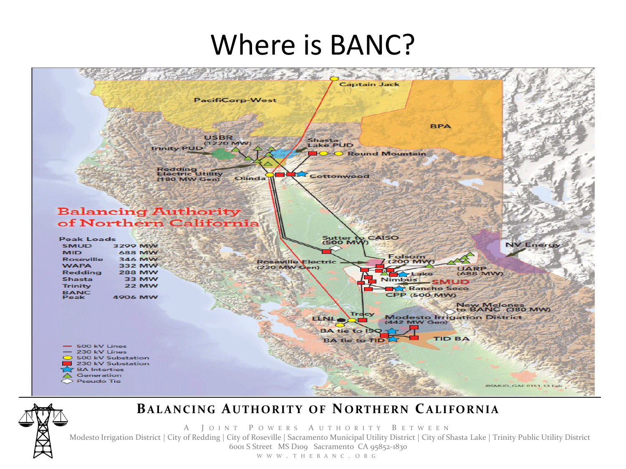### Where is BANC?



#### **BALANCING AUTHORITY OF NORTHERN CALIFORNIA**

A J OINT P OWERS A UTHORITY B ETWEEN

Modesto Irrigation District | City of Redding | City of Roseville | Sacramento Municipal Utility District | City of Shasta Lake | Trinity Public Utility District

6001 S Street MS D109 Sacramento CA 95852-1830

WWW . THEBANC . ORG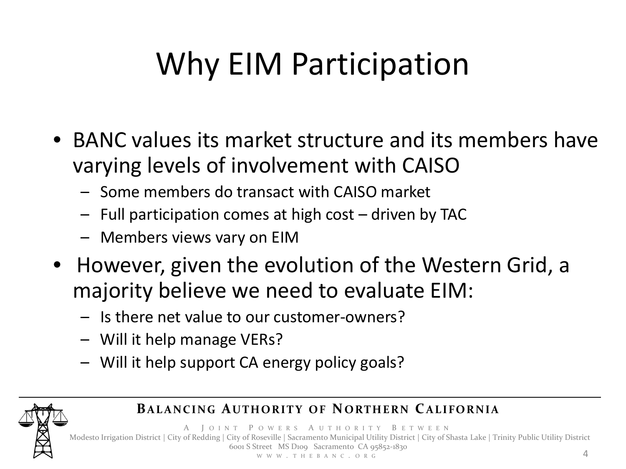# Why EIM Participation

- BANC values its market structure and its members have varying levels of involvement with CAISO
	- Some members do transact with CAISO market
	- Full participation comes at high cost driven by TAC
	- Members views vary on EIM
- However, given the evolution of the Western Grid, a majority believe we need to evaluate EIM:
	- Is there net value to our customer-owners?
	- Will it help manage VERs?
	- Will it help support CA energy policy goals?

#### **BALANCING AUTHORITY OF NORTHERN CALIFORNIA**

A J OINT P OWERS A UTHORITY B ETWEEN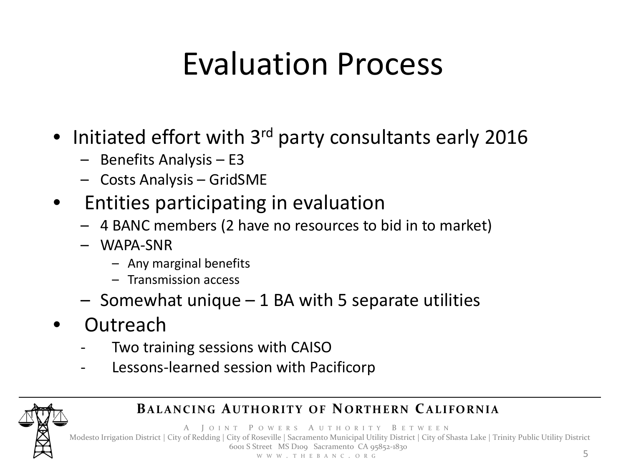## Evaluation Process

- Initiated effort with 3<sup>rd</sup> party consultants early 2016
	- Benefits Analysis E3
	- Costs Analysis GridSME
- Entities participating in evaluation
	- 4 BANC members (2 have no resources to bid in to market)
	- WAPA-SNR
		- Any marginal benefits
		- Transmission access
	- $-$  Somewhat unique  $-1$  BA with 5 separate utilities
- **Outreach** 
	- Two training sessions with CAISO
	- Lessons-learned session with Pacificorp

### **BALANCING AUTHORITY OF NORTHERN CALIFORNIA**

A J OINT P OWERS A UTHORITY B ETWEEN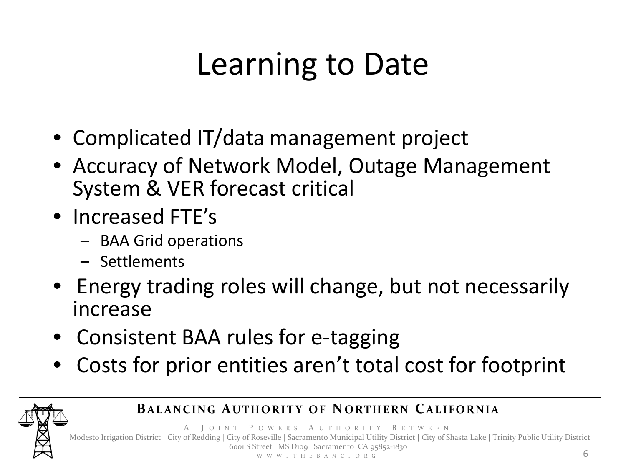## Learning to Date

- Complicated IT/data management project
- Accuracy of Network Model, Outage Management System & VER forecast critical
- Increased FTE's
	- BAA Grid operations
	- Settlements
- Energy trading roles will change, but not necessarily increase
- Consistent BAA rules for e-tagging
- Costs for prior entities aren't total cost for footprint

#### **BALANCING AUTHORITY OF NORTHERN CALIFORNIA**

A J OINT P OWERS A UTHORITY B ETWEEN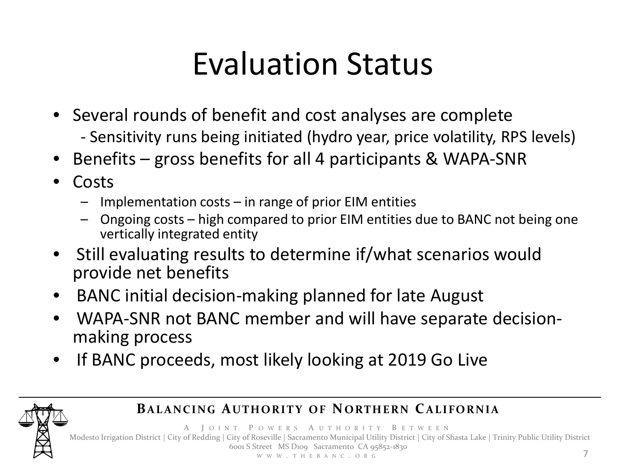## Evaluation Status

- Several rounds of benefit and cost analyses are complete
	- Sensitivity runs being initiated (hydro year, price volatility, RPS levels)
- Benefits gross benefits for all 4 participants & WAPA-SNR
- Costs
	- Implementation  $costs in range of prior EIM$  entities
	- Ongoing costs high compared to prior EIM entities due to BANC not being one vertically integrated entity
- Still evaluating results to determine if/what scenarios would provide net benefits
- BANC initial decision-making planned for late August
- WAPA-SNR not BANC member and will have separate decision- making process
- If BANC proceeds, most likely looking at 2019 Go Live

### **BALANCING AUTHORITY OF NORTHERN CALIFORNIA**

A J OINT P OWERS A UTHORITY B ETWEEN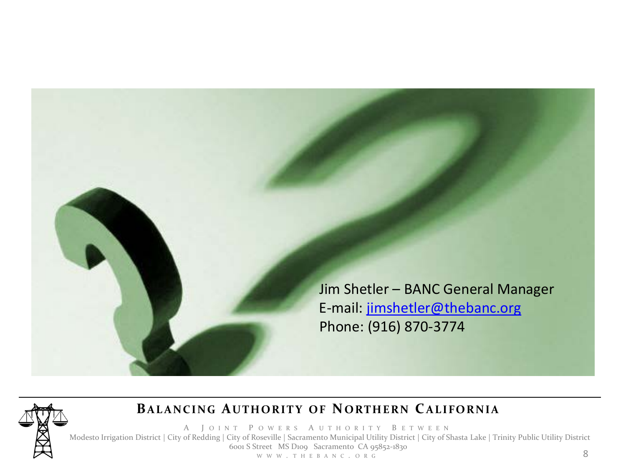



#### **BALANCING AUTHORITY OF NORTHERN CALIFORNIA**

A J OINT P OWERS A UTHORITY B ETWEEN

Modesto Irrigation District | City of Redding | City of Roseville | Sacramento Municipal Utility District | City of Shasta Lake | Trinity Public Utility District 6001 S Street MS D109 Sacramento CA 95852-1830

WWW. THEBANC. ORG  $8$